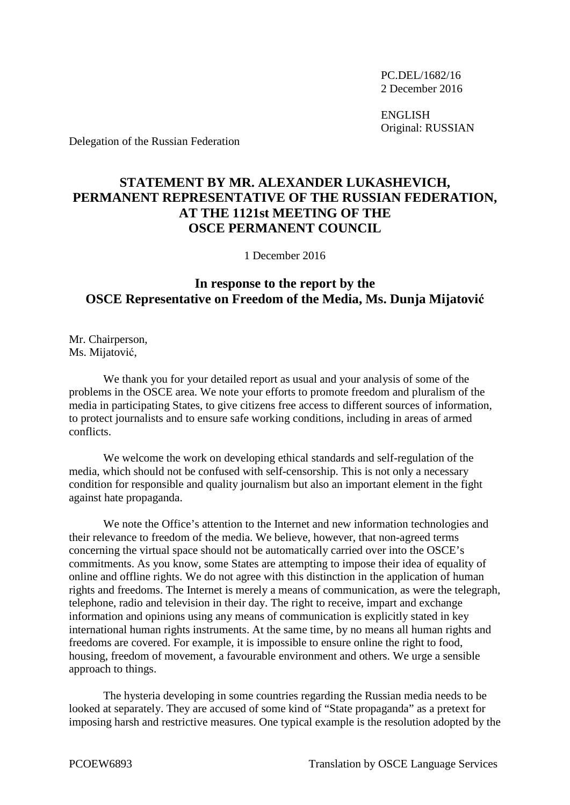PC.DEL/1682/16 2 December 2016

ENGLISH Original: RUSSIAN

Delegation of the Russian Federation

## **STATEMENT BY MR. ALEXANDER LUKASHEVICH, PERMANENT REPRESENTATIVE OF THE RUSSIAN FEDERATION, AT THE 1121st MEETING OF THE OSCE PERMANENT COUNCIL**

1 December 2016

## **In response to the report by the OSCE Representative on Freedom of the Media, Ms. Dunja Mijatović**

Mr. Chairperson, Ms. Mijatović,

We thank you for your detailed report as usual and your analysis of some of the problems in the OSCE area. We note your efforts to promote freedom and pluralism of the media in participating States, to give citizens free access to different sources of information, to protect journalists and to ensure safe working conditions, including in areas of armed conflicts.

We welcome the work on developing ethical standards and self-regulation of the media, which should not be confused with self-censorship. This is not only a necessary condition for responsible and quality journalism but also an important element in the fight against hate propaganda.

We note the Office's attention to the Internet and new information technologies and their relevance to freedom of the media. We believe, however, that non-agreed terms concerning the virtual space should not be automatically carried over into the OSCE's commitments. As you know, some States are attempting to impose their idea of equality of online and offline rights. We do not agree with this distinction in the application of human rights and freedoms. The Internet is merely a means of communication, as were the telegraph, telephone, radio and television in their day. The right to receive, impart and exchange information and opinions using any means of communication is explicitly stated in key international human rights instruments. At the same time, by no means all human rights and freedoms are covered. For example, it is impossible to ensure online the right to food, housing, freedom of movement, a favourable environment and others. We urge a sensible approach to things.

The hysteria developing in some countries regarding the Russian media needs to be looked at separately. They are accused of some kind of "State propaganda" as a pretext for imposing harsh and restrictive measures. One typical example is the resolution adopted by the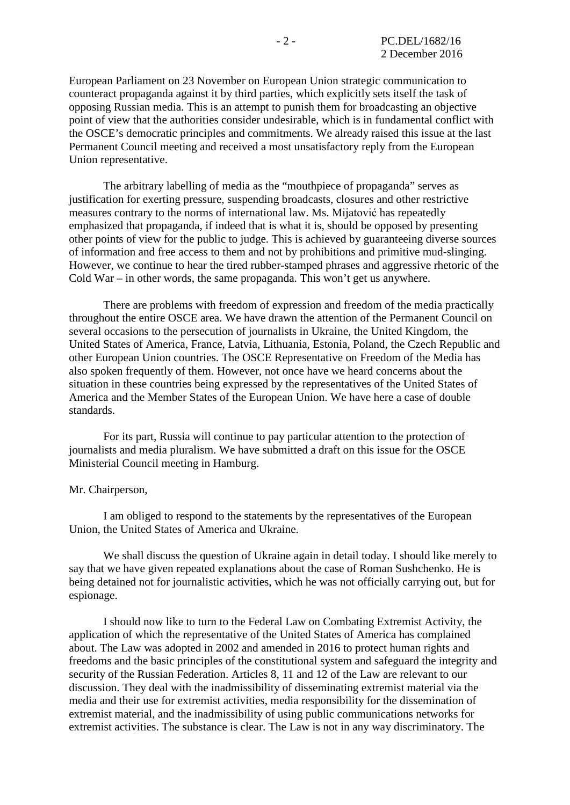European Parliament on 23 November on European Union strategic communication to counteract propaganda against it by third parties, which explicitly sets itself the task of opposing Russian media. This is an attempt to punish them for broadcasting an objective point of view that the authorities consider undesirable, which is in fundamental conflict with the OSCE's democratic principles and commitments. We already raised this issue at the last Permanent Council meeting and received a most unsatisfactory reply from the European Union representative.

The arbitrary labelling of media as the "mouthpiece of propaganda" serves as justification for exerting pressure, suspending broadcasts, closures and other restrictive measures contrary to the norms of international law. Ms. Mijatović has repeatedly emphasized that propaganda, if indeed that is what it is, should be opposed by presenting other points of view for the public to judge. This is achieved by guaranteeing diverse sources of information and free access to them and not by prohibitions and primitive mud-slinging. However, we continue to hear the tired rubber-stamped phrases and aggressive rhetoric of the Cold War – in other words, the same propaganda. This won't get us anywhere.

There are problems with freedom of expression and freedom of the media practically throughout the entire OSCE area. We have drawn the attention of the Permanent Council on several occasions to the persecution of journalists in Ukraine, the United Kingdom, the United States of America, France, Latvia, Lithuania, Estonia, Poland, the Czech Republic and other European Union countries. The OSCE Representative on Freedom of the Media has also spoken frequently of them. However, not once have we heard concerns about the situation in these countries being expressed by the representatives of the United States of America and the Member States of the European Union. We have here a case of double standards.

For its part, Russia will continue to pay particular attention to the protection of journalists and media pluralism. We have submitted a draft on this issue for the OSCE Ministerial Council meeting in Hamburg.

## Mr. Chairperson,

I am obliged to respond to the statements by the representatives of the European Union, the United States of America and Ukraine.

We shall discuss the question of Ukraine again in detail today. I should like merely to say that we have given repeated explanations about the case of Roman Sushchenko. He is being detained not for journalistic activities, which he was not officially carrying out, but for espionage.

I should now like to turn to the Federal Law on Combating Extremist Activity, the application of which the representative of the United States of America has complained about. The Law was adopted in 2002 and amended in 2016 to protect human rights and freedoms and the basic principles of the constitutional system and safeguard the integrity and security of the Russian Federation. Articles 8, 11 and 12 of the Law are relevant to our discussion. They deal with the inadmissibility of disseminating extremist material via the media and their use for extremist activities, media responsibility for the dissemination of extremist material, and the inadmissibility of using public communications networks for extremist activities. The substance is clear. The Law is not in any way discriminatory. The